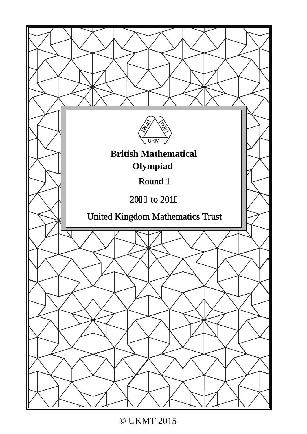

© UKMT 2015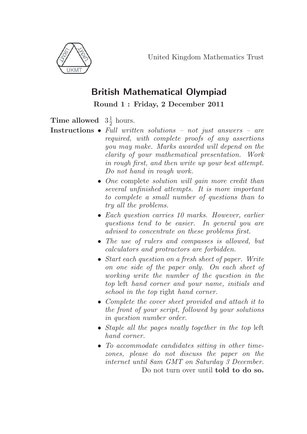

## **British Mathematical Olympiad**

**Round 1 : Friday, 2 December 2011**

# **Time allowed**  $3\frac{1}{2}$  hours.

- **Instructions** Full written solutions not just answers are required, with complete proofs of any assertions you may make. Marks awarded will depend on the clarity of your mathematical presentation. Work in rough first, and then write up your best attempt. Do not hand in rough work.
	- One complete *solution will gain more credit than* several unfinished attempts. It is more important to complete a small number of questions than to try all the problems.
	- Each question carries 10 marks. However, earlier questions tend to be easier. In general you are advised to concentrate on these problems first.
	- The use of rulers and compasses is allowed, but calculators and protractors are forbidden.
	- Start each question on a fresh sheet of paper. Write on one side of the paper only. On each sheet of working write the number of the question in the top left hand corner and your name, initials and school in the top right hand corner.
	- Complete the cover sheet provided and attach it to the front of your script, followed by your solutions in question number order.
	- Staple all the pages neatly together in the top left hand corner.
	- To accommodate candidates sitting in other timezones, please do not discuss the paper on the internet until 8am GMT on Saturday 3 December. Do not turn over until **told to do so.**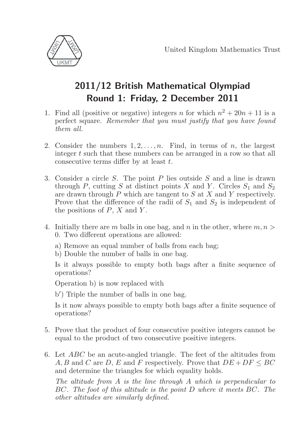

# **2011/12 British Mathematical Olympiad Round 1: Friday, 2 December 2011**

- 1. Find all (positive or negative) integers n for which  $n^2 + 20n + 11$  is a perfect square. Remember that you must justify that you have found them all.
- 2. Consider the numbers  $1, 2, \ldots, n$ . Find, in terms of n, the largest integer t such that these numbers can be arranged in a row so that all consecutive terms differ by at least t.
- 3. Consider a circle S. The point P lies outside S and a line is drawn through P, cutting S at distinct points X and Y. Circles  $S_1$  and  $S_2$ are drawn through P which are tangent to S at X and Y respectively. Prove that the difference of the radii of  $S_1$  and  $S_2$  is independent of the positions of  $P$ ,  $X$  and  $Y$ .
- 4. Initially there are m balls in one bag, and n in the other, where  $m, n >$ 0. Two different operations are allowed:
	- a) Remove an equal number of balls from each bag;
	- b) Double the number of balls in one bag.

Is it always possible to empty both bags after a finite sequence of operations?

Operation b) is now replaced with

b ) Triple the number of balls in one bag.

Is it now always possible to empty both bags after a finite sequence of operations?

- 5. Prove that the product of four consecutive positive integers cannot be equal to the product of two consecutive positive integers.
- 6. Let ABC be an acute-angled triangle. The feet of the altitudes from A, B and C are D, E and F respectively. Prove that  $DE + DF \le BC$ and determine the triangles for which equality holds.

The altitude from A is the line through A which is perpendicular to BC. The foot of this altitude is the point D where it meets BC. The other altitudes are similarly defined.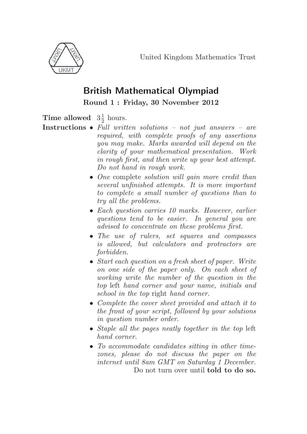

## **British Mathematical Olympiad**

**Round 1 : Friday, 30 November 2012**

**Time allowed**  $3\frac{1}{2}$  hours.

- **Instructions** Full written solutions not just answers are required, with complete proofs of any assertions you may make. Marks awarded will depend on the clarity of your mathematical presentation. Work in rough first, and then write up your best attempt. Do not hand in rough work.
	- One complete *solution will gain more credit than* several unfinished attempts. It is more important to complete a small number of questions than to try all the problems.
	- Each question carries 10 marks. However, earlier questions tend to be easier. In general you are advised to concentrate on these problems first.
	- The use of rulers, set squares and compasses is allowed, but calculators and protractors are forbidden.
	- Start each question on a fresh sheet of paper. Write on one side of the paper only. On each sheet of working write the number of the question in the top left hand corner and your name, initials and school in the top right hand corner.
	- Complete the cover sheet provided and attach it to the front of your script, followed by your solutions in question number order.
	- Staple all the pages neatly together in the top left hand corner.
	- To accommodate candidates sitting in other timezones, please do not discuss the paper on the internet until 8am GMT on Saturday 1 December. Do not turn over until **told to do so.**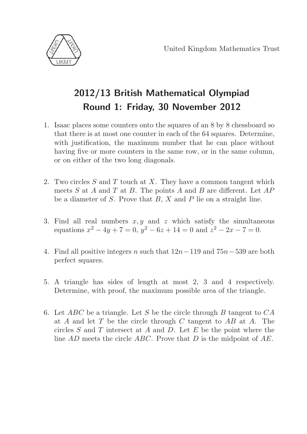

# **2012/13 British Mathematical Olympiad Round 1: Friday, 30 November 2012**

- 1. Isaac places some counters onto the squares of an 8 by 8 chessboard so that there is at most one counter in each of the 64 squares. Determine, with justification, the maximum number that he can place without having five or more counters in the same row, or in the same column, or on either of the two long diagonals.
- 2. Two circles  $S$  and  $T$  touch at  $X$ . They have a common tangent which meets  $S$  at  $A$  and  $T$  at  $B$ . The points  $A$  and  $B$  are different. Let  $AP$ be a diameter of  $S$ . Prove that  $B$ ,  $X$  and  $P$  lie on a straight line.
- 3. Find all real numbers  $x, y$  and  $z$  which satisfy the simultaneous equations  $x^2 - 4y + 7 = 0$ ,  $y^2 - 6z + 14 = 0$  and  $z^2 - 2x - 7 = 0$ .
- 4. Find all positive integers n such that  $12n-119$  and  $75n-539$  are both perfect squares.
- 5. A triangle has sides of length at most 2, 3 and 4 respectively. Determine, with proof, the maximum possible area of the triangle.
- 6. Let ABC be a triangle. Let S be the circle through B tangent to  $CA$ at A and let T be the circle through C tangent to  $AB$  at A. The circles  $S$  and  $T$  intersect at  $A$  and  $D$ . Let  $E$  be the point where the line AD meets the circle ABC. Prove that D is the midpoint of AE.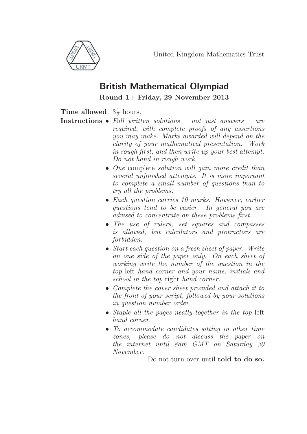

### **British Mathematical Olympiad**

**Round 1 : Friday, 29 November 2013**

#### **Time allowed**  $3\frac{1}{2}$  hours.

- **Instructions** Full written solutions not just answers are required, with complete proofs of any assertions you may make. Marks awarded will depend on the clarity of your mathematical presentation. Work in rough first, and then write up your best attempt. Do not hand in rough work.
	- One complete *solution will gain more credit than* several unfinished attempts. It is more important to complete a small number of questions than to try all the problems.
	- Each question carries 10 marks. However, earlier questions tend to be easier. In general you are advised to concentrate on these problems first.
	- The use of rulers, set squares and compasses is allowed, but calculators and protractors are forbidden.
	- Start each question on a fresh sheet of paper. Write on one side of the paper only. On each sheet of working write the number of the question in the top left hand corner and your name, initials and school in the top right hand corner.
	- Complete the cover sheet provided and attach it to the front of your script, followed by your solutions in question number order.
	- Staple all the pages neatly together in the top left hand corner.
	- To accommodate candidates sitting in other time zones, please do not discuss the paper on the internet until 8am GMT on Saturday 30 November.

Do not turn over until **told to do so.**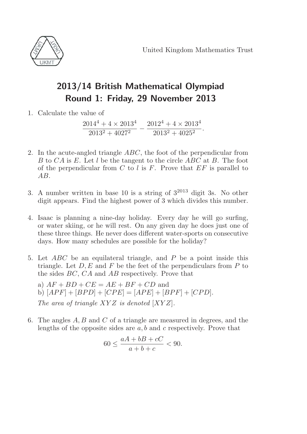

# **2013/14 British Mathematical Olympiad Round 1: Friday, 29 November 2013**

1. Calculate the value of

 $\frac{2014^4 + 4 \times 2013^4}{2013^2 + 4027^2} - \frac{2012^4 + 4 \times 2013^4}{2013^2 + 4025^2}$ 

- 2. In the acute-angled triangle ABC, the foot of the perpendicular from B to CA is E. Let l be the tangent to the circle ABC at B. The foot of the perpendicular from  $C$  to l is  $F$ . Prove that  $EF$  is parallel to AB.
- 3. A number written in base 10 is a string of  $3^{2013}$  digit 3s. No other digit appears. Find the highest power of 3 which divides this number.
- 4. Isaac is planning a nine-day holiday. Every day he will go surfing, or water skiing, or he will rest. On any given day he does just one of these three things. He never does different water-sports on consecutive days. How many schedules are possible for the holiday?
- 5. Let ABC be an equilateral triangle, and P be a point inside this triangle. Let  $D, E$  and F be the feet of the perpendiculars from P to the sides BC, CA and AB respectively. Prove that
	- a)  $AF + BD + CE = AE + BF + CD$  and b)  $[APF] + [BPD] + [CPE] = [APE] + [BPF] + [CPD].$ The area of triangle  $XYZ$  is denoted  $[XYZ]$ .
- 6. The angles A, B and C of a triangle are measured in degrees, and the lengths of the opposite sides are  $a, b$  and c respectively. Prove that

$$
60 \le \frac{aA + bB + cC}{a + b + c} < 90.
$$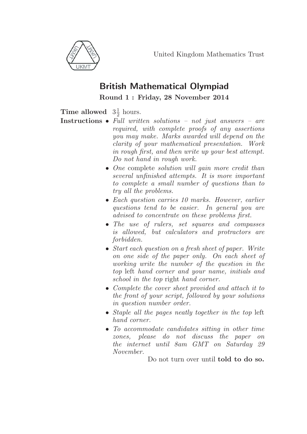

## **British Mathematical Olympiad**

**Round 1 : Friday, 28 November 2014**

#### **Time allowed**  $3\frac{1}{2}$  hours.

- **Instructions** Full written solutions not just answers are required, with complete proofs of any assertions you may make. Marks awarded will depend on the clarity of your mathematical presentation. Work in rough first, and then write up your best attempt. Do not hand in rough work.
	- One complete *solution will gain more credit than* several unfinished attempts. It is more important to complete a small number of questions than to try all the problems.
	- Each question carries 10 marks. However, earlier questions tend to be easier. In general you are advised to concentrate on these problems first.
	- The use of rulers, set squares and compasses is allowed, but calculators and protractors are forbidden.
	- Start each question on a fresh sheet of paper. Write on one side of the paper only. On each sheet of working write the number of the question in the top left hand corner and your name, initials and school in the top right hand corner.
	- Complete the cover sheet provided and attach it to the front of your script, followed by your solutions in question number order.
	- Staple all the pages neatly together in the top left hand corner.
	- To accommodate candidates sitting in other time zones, please do not discuss the paper on the internet until 8am GMT on Saturday 29 November.

Do not turn over until **told to do so.**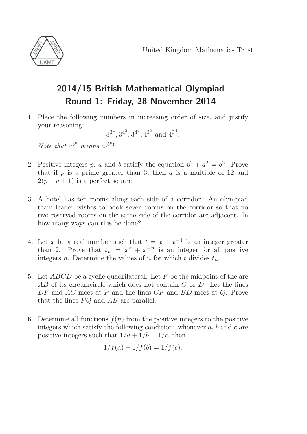

# **2014/15 British Mathematical Olympiad Round 1: Friday, 28 November 2014**

1. Place the following numbers in increasing order of size, and justify your reasoning:

$$
3^{3^4}, 3^{4^3}, 3^{4^4}, 4^{3^3}
$$
 and  $4^{3^4}$ .

Note that  $a^{b^c}$  means  $a^{(b^c)}$ .

- 2. Positive integers p, a and b satisfy the equation  $p^2 + a^2 = b^2$ . Prove that if p is a prime greater than 3, then  $a$  is a multiple of 12 and  $2(p + a + 1)$  is a perfect square.
- 3. A hotel has ten rooms along each side of a corridor. An olympiad team leader wishes to book seven rooms on the corridor so that no two reserved rooms on the same side of the corridor are adjacent. In how many ways can this be done?
- 4. Let x be a real number such that  $t = x + x^{-1}$  is an integer greater than 2. Prove that  $t_n = x^n + x^{-n}$  is an integer for all positive integers n. Determine the values of n for which t divides  $t_n$ .
- 5. Let  $ABCD$  be a cyclic quadrilateral. Let F be the midpoint of the arc AB of its circumcircle which does not contain C or D. Let the lines DF and AC meet at P and the lines CF and BD meet at Q. Prove that the lines  $PQ$  and  $AB$  are parallel.
- 6. Determine all functions  $f(n)$  from the positive integers to the positive integers which satisfy the following condition: whenever  $a, b$  and  $c$  are positive integers such that  $1/a + 1/b = 1/c$ , then

$$
1/f(a) + 1/f(b) = 1/f(c).
$$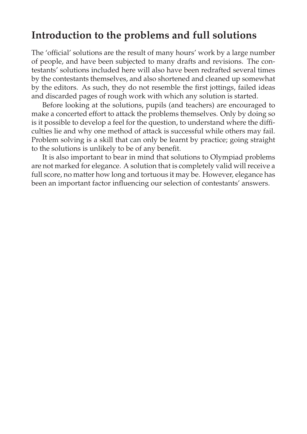# **Introduction to the problems and full solutions**

The 'official' solutions are the result of many hours' work by a large number of people, and have been subjected to many drafts and revisions. The contestants' solutions included here will also have been redrafted several times by the contestants themselves, and also shortened and cleaned up somewhat by the editors. As such, they do not resemble the first jottings, failed ideas and discarded pages of rough work with which any solution is started.

Before looking at the solutions, pupils (and teachers) are encouraged to make a concerted effort to attack the problems themselves. Only by doing so is it possible to develop a feel for the question, to understand where the difficulties lie and why one method of attack is successful while others may fail. Problem solving is a skill that can only be learnt by practice; going straight to the solutions is unlikely to be of any benefit.

It is also important to bear in mind that solutions to Olympiad problems are not marked for elegance. A solution that is completely valid will receive a full score, no matter how long and tortuous it may be. However, elegance has been an important factor influencing our selection of contestants' answers.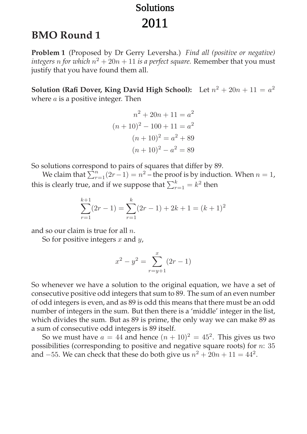# Solutions 2011

# **BMO Round 1**

**Problem 1** (Proposed by Dr Gerry Leversha.) *Find all (positive or negative) integers n* for which  $n^2 + 20n + 11$  *is a perfect square.* Remember that you must justify that you have found them all.

**Solution (Rafi Dover, King David High School):** Let  $n^2 + 20n + 11 = a^2$ where  $a$  is a positive integer. Then

$$
n^{2} + 20n + 11 = a^{2}
$$

$$
(n + 10)^{2} - 100 + 11 = a^{2}
$$

$$
(n + 10)^{2} = a^{2} + 89
$$

$$
(n + 10)^{2} - a^{2} = 89
$$

So solutions correspond to pairs of squares that differ by 89.

We claim that  $\sum_{r=1}^{n} (2r-1) = n^2$  – the proof is by induction. When  $n = 1$ , this is clearly true, and if we suppose that  $\sum_{r=1}^k = k^2$  then

$$
\sum_{r=1}^{k+1} (2r - 1) = \sum_{r=1}^{k} (2r - 1) + 2k + 1 = (k+1)^2
$$

and so our claim is true for all  $n$ .

So for positive integers  $x$  and  $y$ ,

$$
x^{2} - y^{2} = \sum_{r=y+1}^{x} (2r - 1)
$$

So whenever we have a solution to the original equation, we have a set of consecutive positive odd integers that sum to 89. The sum of an even number of odd integers is even, and as 89 is odd this means that there must be an odd number of integers in the sum. But then there is a 'middle' integer in the list, which divides the sum. But as 89 is prime, the only way we can make 89 as a sum of consecutive odd integers is 89 itself.

So we must have  $a = 44$  and hence  $(n + 10)^2 = 45^2$ . This gives us two possibilities (corresponding to positive and negative square roots) for n: 35 and  $-55$ . We can check that these do both give us  $n^2 + 20n + 11 = 44^2$ .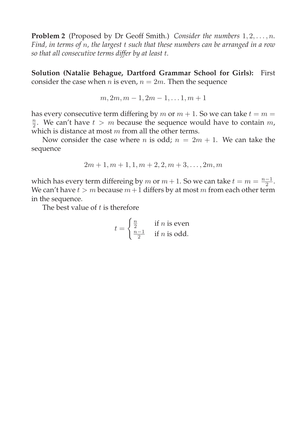**Problem 2** (Proposed by Dr Geoff Smith.) *Consider the numbers*  $1, 2, \ldots, n$ *. Find, in terms of* n*, the largest* t *such that these numbers can be arranged in a row so that all consecutive terms differ by at least* t*.*

**Solution (Natalie Behague, Dartford Grammar School for Girls):** First consider the case when  $n$  is even,  $n = 2m$ . Then the sequence

$$
m, 2m, m-1, 2m-1, \ldots, 1, m+1
$$

has every consecutive term differing by  $m$  or  $m + 1$ . So we can take  $t = m =$  $\frac{n}{2}$ . We can't have  $t>m$  because the sequence would have to contain m, which is distance at most  $m$  from all the other terms.

Now consider the case where *n* is odd;  $n = 2m + 1$ . We can take the sequence

$$
2m+1, m+1, 1, m+2, 2, m+3, \ldots, 2m, m
$$

which has every term differeing by  $m$  or  $m + 1$ . So we can take  $t = m = \frac{n-1}{2}$ . We can't have  $t>m$  because  $m+1$  differs by at most m from each other term in the sequence.

The best value of  $t$  is therefore

$$
t = \begin{cases} \frac{n}{2} & \text{if } n \text{ is even} \\ \frac{n-1}{2} & \text{if } n \text{ is odd.} \end{cases}
$$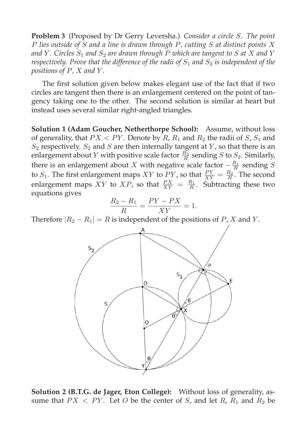**Problem 3** (Proposed by Dr Gerry Leversha.) *Consider a circle* S*. The point* P *lies outside of* S *and a line is drawn through* P*, cutting* S *at distinct points* X and Y. Circles  $S_1$  and  $S_2$  are drawn through P which are tangent to S at X and Y *respectively. Prove that the difference of the radii of*  $S_1$  *and*  $S_2$  *is independent of the positions of* P*,* X *and* Y *.*

The first solution given below makes elegant use of the fact that if two circles are tangent then there is an enlargement centered on the point of tangency taking one to the other. The second solution is similar at heart but instead uses several similar right-angled triangles.

**Solution 1 (Adam Goucher, Netherthorpe School):** Assume, without loss of generality, that  $PX < PY$ . Denote by  $R$ ,  $R_1$  and  $R_2$  the radii of  $S$ ,  $S_1$  and  $S_2$  respectively.  $S_2$  and  $S$  are then internally tangent at  $Y$ , so that there is an enlargement about Y with positive scale factor  $\frac{R_2}{R}$  sending S to  $S_2$ . Similarly, there is an enlargement about X with negative scale factor  $-\frac{R_1}{R}$  sending S to  $S_1$ . The first enlargement maps XY to PY, so that  $\frac{PY}{XY} = \frac{R_2}{R}$ . The second enlargement maps XY to XP, so that  $\frac{PX}{XY} = \frac{R_1}{R}$ . Subtracting these two equations gives

$$
\frac{R_2 - R_1}{R} = \frac{PY - PX}{XY} = 1.
$$

Therefore  $|R_2 - R_1| = R$  is independent of the positions of P, X and Y.



**Solution 2 (B.T.G. de Jager, Eton College):** Without loss of generality, assume that  $PX < PY$ . Let O be the center of S, and let R,  $R_1$  and  $R_2$  be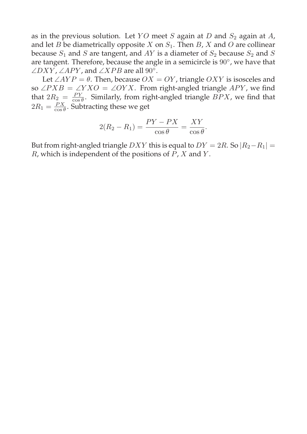as in the previous solution. Let YO meet S again at D and  $S_2$  again at A, and let B be diametrically opposite X on  $S_1$ . Then B, X and O are collinear because  $S_1$  and S are tangent, and AY is a diameter of  $S_2$  because  $S_2$  and S are tangent. Therefore, because the angle in a semicircle is 90◦, we have that  $\angle DXY$ ,  $\angle APY$ , and  $\angle XPB$  are all 90°.

Let  $\angle AYP = \theta$ . Then, because  $OX = OY$ , triangle  $OXY$  is isosceles and so ∠ $PXB = \angle YXO = \angle OYX$ . From right-angled triangle APY, we find that  $2R_2 = \frac{PY}{\cos \theta}$ . Similarly, from right-angled triangle  $BPX$ , we find that  $2R_1 = \frac{PX}{\cos\theta}$ . Subtracting these we get

$$
2(R_2 - R_1) = \frac{PY - PX}{\cos \theta} = \frac{XY}{\cos \theta}.
$$

But from right-angled triangle DXY this is equal to  $DY = 2R$ . So  $|R_2-R_1|$  =  $R$ , which is independent of the positions of  $P$ ,  $X$  and  $Y$ .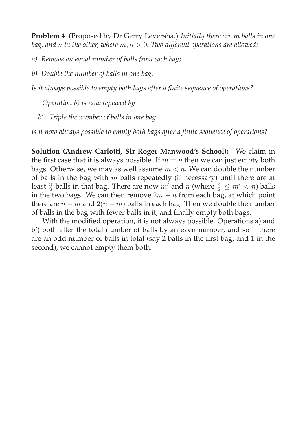**Problem 4** (Proposed by Dr Gerry Leversha.) *Initially there are* m *balls in one bag, and* n *in the other, where* m, n > 0*. Two different operations are allowed:*

*a) Remove an equal number of balls from each bag;*

*b) Double the number of balls in one bag.*

*Is it always possible to empty both bags after a finite sequence of operations?*

*Operation b) is now replaced by*

*b') Triple the number of balls in one bag*

*Is it now always possible to empty both bags after a finite sequence of operations?*

**Solution (Andrew Carlotti, Sir Roger Manwood's School):** We claim in the first case that it is always possible. If  $m = n$  then we can just empty both bags. Otherwise, we may as well assume  $m < n$ . We can double the number of balls in the bag with  $m$  balls repeatedly (if necessary) until there are at least  $\frac{n}{2}$  balls in that bag. There are now m' and n (where  $\frac{n}{2} \le m' < n$ ) balls in the two bags. We can then remove  $2m - n$  from each bag, at which point there are  $n - m$  and  $2(n - m)$  balls in each bag. Then we double the number of balls in the bag with fewer balls in it, and finally empty both bags.

With the modified operation, it is not always possible. Operations a) and b') both alter the total number of balls by an even number, and so if there are an odd number of balls in total (say 2 balls in the first bag, and 1 in the second), we cannot empty them both.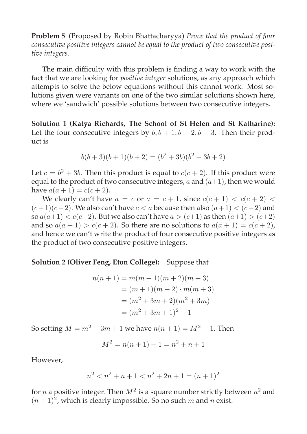**Problem 5** (Proposed by Robin Bhattacharyya) *Prove that the product of four consecutive positive integers cannot be equal to the product of two consecutive positive integers.*

The main difficulty with this problem is finding a way to work with the fact that we are looking for *positive integer* solutions, as any approach which attempts to solve the below equations without this cannot work. Most solutions given were variants on one of the two similar solutions shown here, where we 'sandwich' possible solutions between two consecutive integers.

**Solution 1 (Katya Richards, The School of St Helen and St Katharine):** Let the four consecutive integers by  $b, b + 1, b + 2, b + 3$ . Then their product is

$$
b(b+3)(b+1)(b+2) = (b2 + 3b)(b2 + 3b + 2)
$$

Let  $c = b^2 + 3b$ . Then this product is equal to  $c(c + 2)$ . If this product were equal to the product of two consecutive integers, a and  $(a+1)$ , then we would have  $a(a + 1) = c(c + 2)$ .

We clearly can't have  $a = c$  or  $a = c + 1$ , since  $c(c + 1) < c(c + 2)$  $(c+1)(c+2)$ . We also can't have  $c < a$  because then also  $(a+1) < (c+2)$  and so  $a(a+1) < c(c+2)$ . But we also can't have  $a > (c+1)$  as then  $(a+1) > (c+2)$ and so  $a(a + 1) > c(c + 2)$ . So there are no solutions to  $a(a + 1) = c(c + 2)$ , and hence we can't write the product of four consecutive positive integers as the product of two consecutive positive integers.

#### **Solution 2 (Oliver Feng, Eton College):** Suppose that

$$
n(n + 1) = m(m + 1)(m + 2)(m + 3)
$$
  
= (m + 1)(m + 2) \cdot m(m + 3)  
= (m<sup>2</sup> + 3m + 2)(m<sup>2</sup> + 3m)  
= (m<sup>2</sup> + 3m + 1)<sup>2</sup> - 1

So setting  $M = m^2 + 3m + 1$  we have  $n(n + 1) = M^2 - 1$ . Then

$$
M^2 = n(n+1) + 1 = n^2 + n + 1
$$

However,

$$
n^2 < n^2 + n + 1 < n^2 + 2n + 1 = (n+1)^2
$$

for *n* a positive integer. Then  $M^2$  is a square number strictly between  $n^2$  and  $(n+1)^2$ , which is clearly impossible. So no such m and n exist.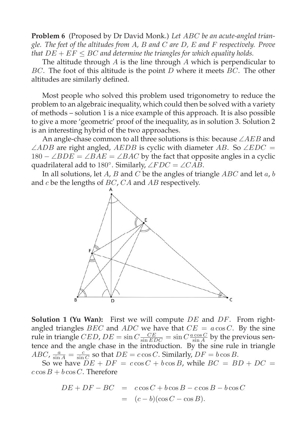**Problem 6** (Proposed by Dr David Monk.) *Let* ABC *be an acute-angled triangle. The feet of the altitudes from* A*,* B *and* C *are* D*,* E *and* F *respectively. Prove that*  $DE + EF \le BC$  and determine the triangles for which equality holds.

The altitude through  $A$  is the line through  $A$  which is perpendicular to BC. The foot of this altitude is the point  $D$  where it meets  $BC$ . The other altitudes are similarly defined.

Most people who solved this problem used trigonometry to reduce the problem to an algebraic inequality, which could then be solved with a variety of methods – solution 1 is a nice example of this approach. It is also possible to give a more 'geometric' proof of the inequality, as in solution 3. Solution 2 is an interesting hybrid of the two approaches.

An angle-chase common to all three solutions is this: because  $\angle AEB$  and  $\angle ADB$  are right angled,  $AEDB$  is cyclic with diameter AB. So  $\angle EDC =$  $180 - \angle BDE = \angle BAE = \angle BAC$  by the fact that opposite angles in a cyclic quadrilateral add to 180°. Similarly,  $\angle FDC = \angle CAB$ .

In all solutions, let A, B and C be the angles of triangle  $ABC$  and let  $a, b$ and  $c$  be the lengths of  $BC$ ,  $CA$  and  $AB$  respectively.



**Solution 1 (Yu Wan):** First we will compute DE and DF. From rightangled triangles *BEC* and *ADC* we have that  $CE = a \cos C$ . By the sine rule in triangle *CED*,  $DE = \sin C \frac{CE}{\sin EDC} = \sin C \frac{a \cos C}{\sin A}$  by the previous sentence and the angle chase in the introduction. By the sine rule in triangle  $ABC$ ,  $\frac{a}{\sin A} = \frac{c}{\sin C}$  so that  $DE = c \cos C$ . Similarly,  $DF = b \cos B$ .

So we have  $\overline{DE} + \overline{DF} = c \cos C + b \cos B$ , while  $\overline{BC} = \overline{BD} + \overline{DC} =$  $c \cos B + b \cos C$ . Therefore

$$
DE + DF - BC = c \cos C + b \cos B - c \cos B - b \cos C
$$
  
=  $(c - b)(\cos C - \cos B).$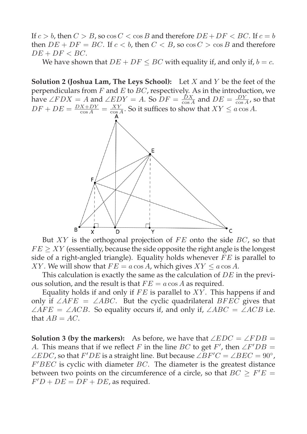If  $c > b$ , then  $C > B$ , so  $\cos C < \cos B$  and therefore  $DE + DF < BC$ . If  $c = b$ then  $DE + DF = BC$ . If  $c < b$ , then  $C < B$ , so  $\cos C > \cos B$  and therefore  $DE + DF < BC$ .

We have shown that  $DE + DF \le BC$  with equality if, and only if,  $b = c$ .

**Solution 2 (Joshua Lam, The Leys School):** Let X and Y be the feet of the perpendiculars from  $F$  and  $E$  to  $BC$ , respectively. As in the introduction, we have  $\angle FDX = A$  and  $\angle EDY = A$ . So  $DF = \frac{DX}{\cos A}$  and  $DE = \frac{DY}{\cos A}$ , so that  $DF + DE = \frac{DX + DY}{\cos A} = \frac{XY}{\cos A}$ . So it suffices to show that  $XY \le a \cos A$ .



But  $XY$  is the orthogonal projection of  $FE$  onto the side  $BC$ , so that  $FE \geq XY$  (essentially, because the side opposite the right angle is the longest side of a right-angled triangle). Equality holds whenever  $FE$  is parallel to XY. We will show that  $FE = a \cos A$ , which gives  $XY \le a \cos A$ .

This calculation is exactly the same as the calculation of DE in the previous solution, and the result is that  $FE = a \cos A$  as required.

Equality holds if and only if  $FE$  is parallel to  $XY$ . This happens if and only if  $\angle AFE = \angle ABC$ . But the cyclic quadrilateral BFEC gives that  $\angle AFE = \angle ACB$ . So equality occurs if, and only if,  $\angle ABC = \angle ACB$  i.e. that  $AB = AC$ .

**Solution 3 (by the markers):** As before, we have that  $\angle EDC = \angle FDB =$ A. This means that if we reflect F in the line BC to get F', then  $\angle F'DB =$  $\angle EDC$ , so that  $F'DE$  is a straight line. But because  $\angle BF'C = \angle BEC = 90^{\circ}$ ,  $F'BEC$  is cyclic with diameter  $BC$ . The diameter is the greatest distance between two points on the circumference of a circle, so that  $BC \ge F'E =$  $F'D + DE = DF + DE$ , as required.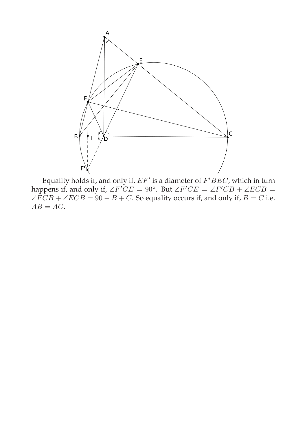

Equality holds if, and only if,  $EF'$  is a diameter of  $F^{\prime}BEC$ , which in turn happens if, and only if,  $\angle F'CE = 90^{\circ}$ . But  $\angle F'CE = \angle F'CB + \angle ECB =$  $\angle FCB + \angle ECB = 90 - B + C$ . So equality occurs if, and only if,  $B = C$  i.e.  $AB = AC$ .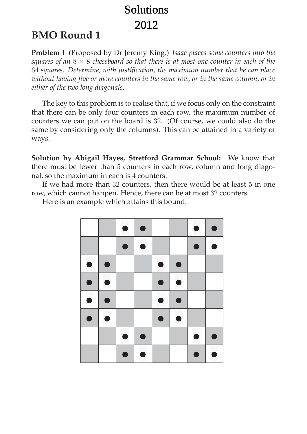# Solutions 2012

# **BMO Round 1**

**Problem 1** (Proposed by Dr Jeremy King.) *Isaac places some counters into the squares of an* 8 × 8 *chessboard so that there is at most one counter in each of the* 64 *squares. Determine, with justification, the maximum number that he can place without having five or more counters in the same row, or in the same column, or in either of the two long diagonals.*

The key to this problem is to realise that, if we focus only on the constraint that there can be only four counters in each row, the maximum number of counters we can put on the board is 32. (Of course, we could also do the same by considering only the columns). This can be attained in a variety of ways.

**Solution by Abigail Hayes, Stretford Grammar School:** We know that there must be fewer than 5 counters in each row, column and long diagonal, so the maximum in each is 4 counters.

If we had more than 32 counters, then there would be at least 5 in one row, which cannot happen. Hence, there can be at most 32 counters.



Here is an example which attains this bound: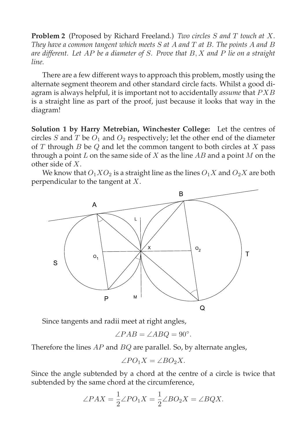**Problem 2** (Proposed by Richard Freeland.) *Two circles* S *and* T *touch at* X*. They have a common tangent which meets* S *at* A *and* T *at* B*. The points* A *and* B *are different. Let* AP *be a diameter of* S*. Prove that* B,X *and* P *lie on a straight line.*

There are a few different ways to approach this problem, mostly using the alternate segment theorem and other standard circle facts. Whilst a good diagram is always helpful, it is important not to accidentally *assume* that PXB is a straight line as part of the proof, just because it looks that way in the diagram!

**Solution 1 by Harry Metrebian, Winchester College:** Let the centres of circles S and T be  $O_1$  and  $O_2$  respectively; let the other end of the diameter of  $T$  through  $B$  be  $Q$  and let the common tangent to both circles at  $X$  pass through a point  $L$  on the same side of  $X$  as the line  $AB$  and a point  $M$  on the other side of X.

We know that  $O_1XO_2$  is a straight line as the lines  $O_1X$  and  $O_2X$  are both perpendicular to the tangent at X.



Since tangents and radii meet at right angles,

$$
\angle PAB = \angle ABQ = 90^{\circ}.
$$

Therefore the lines  $AP$  and  $BQ$  are parallel. So, by alternate angles,

$$
\angle PO_1X = \angle BO_2X.
$$

Since the angle subtended by a chord at the centre of a circle is twice that subtended by the same chord at the circumference,

$$
\angle PAX = \frac{1}{2} \angle PO_1X = \frac{1}{2} \angle BO_2X = \angle BQX.
$$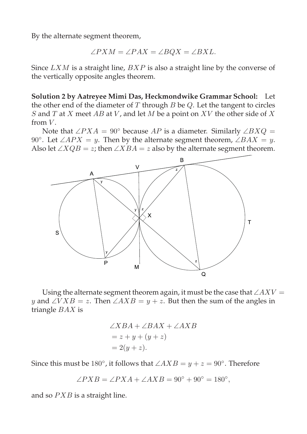By the alternate segment theorem,

$$
\angle PXM = \angle PAX = \angle BQX = \angle BXL.
$$

Since  $LXM$  is a straight line,  $BXP$  is also a straight line by the converse of the vertically opposite angles theorem.

**Solution 2 by Aatreyee Mimi Das, Heckmondwike Grammar School:** Let the other end of the diameter of  $T$  through  $B$  be  $Q$ . Let the tangent to circles S and T at X meet AB at V, and let M be a point on  $XV$  the other side of X from  $V$ .

Note that ∠ $PXA = 90°$  because AP is a diameter. Similarly ∠ $BXQ =$ 90°. Let ∠APX = y. Then by the alternate segment theorem, ∠BAX = y. Also let  $\angle XQB = z$ ; then  $\angle XBA = z$  also by the alternate segment theorem.



Using the alternate segment theorem again, it must be the case that  $\angle A X V =$ y and ∠V X B = z. Then ∠A X B = y + z. But then the sum of the angles in triangle BAX is

$$
\angle XBA + \angle BAX + \angle AXB
$$
  
=  $z + y + (y + z)$   
=  $2(y + z)$ .

Since this must be 180°, it follows that  $\angle AXB = y + z = 90^\circ$ . Therefore

$$
\angle PXB = \angle PXA + \angle AXB = 90^{\circ} + 90^{\circ} = 180^{\circ},
$$

and so  $PXB$  is a straight line.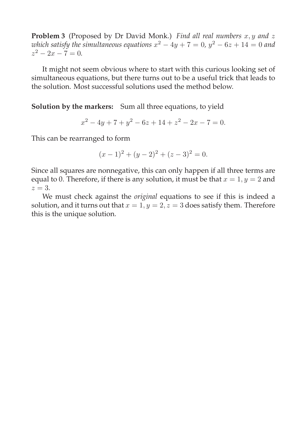**Problem 3** (Proposed by Dr David Monk.) *Find all real numbers* x, y and z *which satisfy the simultaneous equations*  $x^2 - 4y + 7 = 0$ ,  $y^2 - 6z + 14 = 0$  and  $z^2 - 2x - 7 = 0$ .

It might not seem obvious where to start with this curious looking set of simultaneous equations, but there turns out to be a useful trick that leads to the solution. Most successful solutions used the method below.

**Solution by the markers:** Sum all three equations, to yield

$$
x^2 - 4y + 7 + y^2 - 6z + 14 + z^2 - 2x - 7 = 0.
$$

This can be rearranged to form

$$
(x-1)2 + (y-2)2 + (z-3)2 = 0.
$$

Since all squares are nonnegative, this can only happen if all three terms are equal to 0. Therefore, if there is any solution, it must be that  $x = 1, y = 2$  and  $z=3$ .

We must check against the *original* equations to see if this is indeed a solution, and it turns out that  $x = 1$ ,  $y = 2$ ,  $z = 3$  does satisfy them. Therefore this is the unique solution.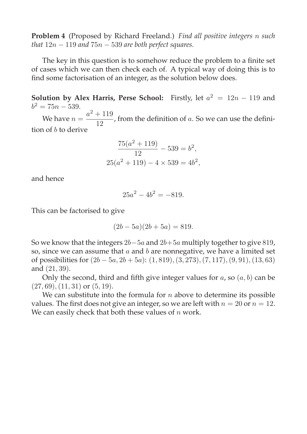**Problem 4** (Proposed by Richard Freeland.) *Find all positive integers* n *such that*  $12n - 119$  *and*  $75n - 539$  *are both perfect squares.* 

The key in this question is to somehow reduce the problem to a finite set of cases which we can then check each of. A typical way of doing this is to find some factorisation of an integer, as the solution below does.

**Solution by Alex Harris, Perse School:** Firstly, let  $a^2 = 12n - 119$  and  $b^2 = 75n - 539.$ 

We have  $n = \frac{a^2 + 119}{12}$  $\frac{12}{12}$ , from the definition of a. So we can use the definition of b to derive

$$
\frac{75(a^2 + 119)}{12} - 539 = b^2,
$$
  

$$
25(a^2 + 119) - 4 \times 539 = 4b^2,
$$

and hence

$$
25a^2 - 4b^2 = -819.
$$

This can be factorised to give

$$
(2b - 5a)(2b + 5a) = 819.
$$

So we know that the integers  $2b-5a$  and  $2b+5a$  multiply together to give 819, so, since we can assume that  $a$  and  $b$  are nonnegative, we have a limited set of possibilities for  $(2b - 5a, 2b + 5a)$ :  $(1, 819), (3, 273), (7, 117), (9, 91), (13, 63)$ and (21, 39).

Only the second, third and fifth give integer values for  $a$ , so  $(a, b)$  can be  $(27, 69), (11, 31)$  or  $(5, 19).$ 

We can substitute into the formula for  $n$  above to determine its possible values. The first does not give an integer, so we are left with  $n = 20$  or  $n = 12$ . We can easily check that both these values of  $n$  work.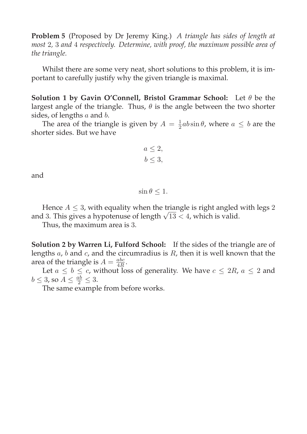**Problem 5** (Proposed by Dr Jeremy King.) *A triangle has sides of length at most* 2*,* 3 *and* 4 *respectively. Determine, with proof, the maximum possible area of the triangle.*

Whilst there are some very neat, short solutions to this problem, it is important to carefully justify why the given triangle is maximal.

**Solution 1 by Gavin O'Connell, Bristol Grammar School:** Let θ be the largest angle of the triangle. Thus,  $\theta$  is the angle between the two shorter sides, of lengths  $a$  and  $b$ .

The area of the triangle is given by  $A = \frac{1}{2}ab\sin\theta$ , where  $a \leq b$  are the shorter sides. But we have

$$
a \le 2,
$$
  

$$
b \le 3,
$$

and

$$
\sin \theta \leq 1.
$$

Hence  $A \leq 3$ , with equality when the triangle is right angled with legs 2 and 3. This gives a hypotenuse of length  $\sqrt{13}$  < 4, which is valid.

Thus, the maximum area is 3.

**Solution 2 by Warren Li, Fulford School:** If the sides of the triangle are of lengths  $a$ ,  $b$  and  $c$ , and the circumradius is  $R$ , then it is well known that the area of the triangle is  $A = \frac{abc}{4R}$ .

Let  $a \leq b \leq c$ , without loss of generality. We have  $c \leq 2R$ ,  $a \leq 2$  and  $b \leq 3$ , so  $A \leq \frac{ab}{2} \leq 3$ .

The same example from before works.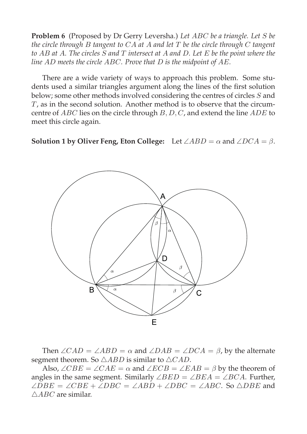**Problem 6** (Proposed by Dr Gerry Leversha.) *Let* ABC *be a triangle. Let* S *be the circle through* B *tangent to* CA *at* A *and let* T *be the circle through* C *tangent to* AB *at* A*. The circles* S *and* T *intersect at* A *and* D*. Let* E *be the point where the line* AD *meets the circle* ABC*. Prove that* D *is the midpoint of* AE*.*

There are a wide variety of ways to approach this problem. Some students used a similar triangles argument along the lines of the first solution below; some other methods involved considering the centres of circles S and T, as in the second solution. Another method is to observe that the circumcentre of ABC lies on the circle through B, D, C, and extend the line ADE to meet this circle again.

**Solution 1 by Oliver Feng, Eton College:** Let  $\angle ABD = \alpha$  and  $\angle DCA = \beta$ .



Then  $\angle CAD = \angle ABD = \alpha$  and  $\angle DAB = \angle DCA = \beta$ , by the alternate segment theorem. So  $\triangle ABD$  is similar to  $\triangle CAD$ .

Also,  $\angle CBE = \angle CAE = \alpha$  and  $\angle ECB = \angle EAB = \beta$  by the theorem of angles in the same segment. Similarly  $\angle BED = \angle BEA = \angle BCA$ . Further,  $\angle DBE = \angle CBE + \angle DBC = \angle ABD + \angle DBC = \angle ABC$ . So  $\triangle DBE$  and  $\triangle ABC$  are similar.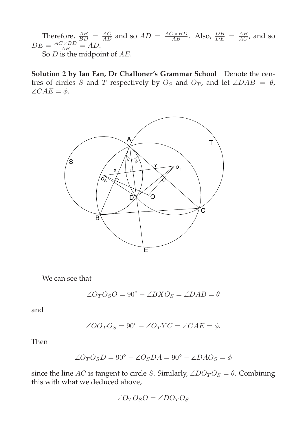Therefore,  $\frac{AB}{BD} = \frac{AC}{AD}$  and so  $AD = \frac{AC \times BD}{AB}$ . Also,  $\frac{DB}{DE} = \frac{AB}{AC}$ , and so  $DE = \frac{AC \times BD}{AB} = AD.$ 

So  $D$  is the midpoint of  $AE$ .

**Solution 2 by Ian Fan, Dr Challoner's Grammar School** Denote the centres of circles S and T respectively by  $O_S$  and  $O_T$ , and let ∠DAB =  $\theta$ ,  $\angle CAE = \phi.$ 



We can see that

$$
\angle O_T O_S O = 90^\circ - \angle B X O_S = \angle DAB = \theta
$$

and

$$
\angle O O_T O_S = 90^\circ - \angle O_T Y C = \angle CAE = \phi.
$$

Then

$$
\angle O_T O_S D = 90^\circ - \angle O_S D A = 90^\circ - \angle D A O_S = \phi
$$

since the line AC is tangent to circle S. Similarly,  $\angle DO_T O_S = \theta$ . Combining this with what we deduced above,

$$
\angle O_T O_S O = \angle DO_T O_S
$$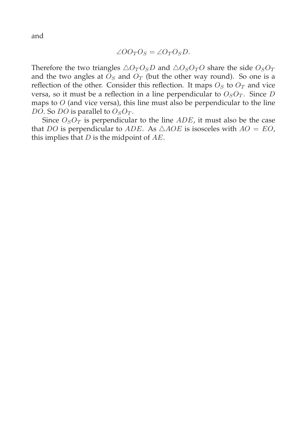and

$$
\angle O O_T O_S = \angle O_T O_S D.
$$

Therefore the two triangles  $\triangle O_T O_S D$  and  $\triangle O_S O_T O$  share the side  $O_S O_T$ and the two angles at  $O<sub>S</sub>$  and  $O<sub>T</sub>$  (but the other way round). So one is a reflection of the other. Consider this reflection. It maps  $O_S$  to  $O_T$  and vice versa, so it must be a reflection in a line perpendicular to  $O<sub>S</sub>O<sub>T</sub>$ . Since D maps to  $O$  (and vice versa), this line must also be perpendicular to the line DO. So DO is parallel to  $O_S O_T$ .

Since  $O<sub>S</sub>O<sub>T</sub>$  is perpendicular to the line  $ADE$ , it must also be the case that DO is perpendicular to ADE. As  $\triangle AOE$  is isosceles with  $AO = EO$ , this implies that  $D$  is the midpoint of  $AE$ .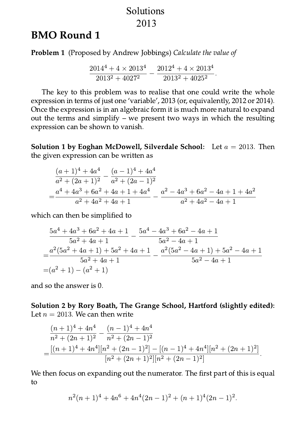### Solutions 2013

## **BMO Round 1**

**Problem 1** (Proposed by Andrew Jobbings) Calculate the value of

$$
\frac{2014^4 + 4 \times 2013^4}{2013^2 + 4027^2} - \frac{2012^4 + 4 \times 2013^4}{2013^2 + 4025^2}.
$$

The key to this problem was to realise that one could write the whole expression in terms of just one 'variable', 2013 (or, equivalently, 2012 or 2014). Once the expression is in an algebraic form it is much more natural to expand out the terms and simplify – we present two ways in which the resulting expression can be shown to vanish.

**Solution 1 by Eoghan McDowell, Silverdale School:** Let  $a = 2013$ . Then the given expression can be written as

$$
\frac{(a+1)^4 + 4a^4}{a^2 + (2a+1)^2} - \frac{(a-1)^4 + 4a^4}{a^2 + (2a-1)^2}
$$
  
= 
$$
\frac{a^4 + 4a^3 + 6a^2 + 4a + 1 + 4a^4}{a^2 + 4a^2 + 4a + 1} - \frac{a^2 - 4a^3 + 6a^2 - 4a + 1 + 4a^2}{a^2 + 4a^2 - 4a + 1}
$$

which can then be simplified to

$$
\frac{5a^4 + 4a^3 + 6a^2 + 4a + 1}{5a^2 + 4a + 1} - \frac{5a^4 - 4a^3 + 6a^2 - 4a + 1}{5a^2 - 4a + 1}
$$
  
= 
$$
\frac{a^2(5a^2 + 4a + 1) + 5a^2 + 4a + 1}{5a^2 + 4a + 1} - \frac{a^2(5a^2 - 4a + 1) + 5a^2 - 4a + 1}{5a^2 - 4a + 1}
$$
  
= 
$$
(a^2 + 1) - (a^2 + 1)
$$

and so the answer is 0.

Solution 2 by Rory Boath, The Grange School, Hartford (slightly edited): Let  $n = 2013$ . We can then write

$$
\frac{(n+1)^4 + 4n^4}{n^2 + (2n+1)^2} - \frac{(n-1)^4 + 4n^4}{n^2 + (2n-1)^2}
$$
  
= 
$$
\frac{[(n+1)^4 + 4n^4][n^2 + (2n-1)^2] - [(n-1)^4 + 4n^4][n^2 + (2n+1)^2]}{[n^2 + (2n+1)^2][n^2 + (2n-1)^2]}
$$

We then focus on expanding out the numerator. The first part of this is equal to

$$
n^{2}(n+1)^{4} + 4n^{6} + 4n^{4}(2n-1)^{2} + (n+1)^{4}(2n-1)^{2}.
$$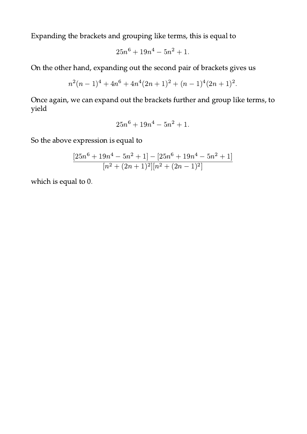Expanding the brackets and grouping like terms, this is equal to

$$
25n^6 + 19n^4 - 5n^2 + 1.
$$

On the other hand, expanding out the second pair of brackets gives us

$$
n^{2}(n-1)^{4} + 4n^{6} + 4n^{4}(2n+1)^{2} + (n-1)^{4}(2n+1)^{2}.
$$

Once again, we can expand out the brackets further and group like terms, to yield

$$
25n^6 + 19n^4 - 5n^2 + 1.
$$

So the above expression is equal to

$$
\frac{[25n^6+19n^4-5n^2+1]-[25n^6+19n^4-5n^2+1]}{[n^2+(2n+1)^2][n^2+(2n-1)^2]}
$$

which is equal to 0.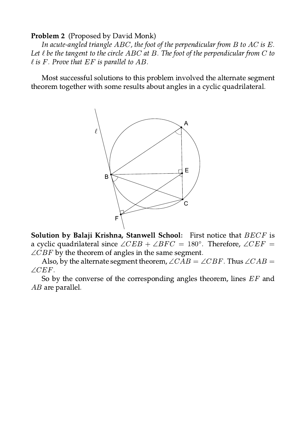#### **Problem 2** (Proposed by David Monk)

In acute-angled triangle  $ABC$ , the foot of the perpendicular from  $B$  to  $AC$  is  $E$ . Let  $\ell$  be the tangent to the circle ABC at B. The foot of the perpendicular from C to  $\ell$  is F. Prove that EF is parallel to AB.

Most successful solutions to this problem involved the alternate segment theorem together with some results about angles in a cyclic quadrilateral.



Solution by Balaji Krishna, Stanwell School: First notice that BECF is a cyclic quadrilateral since  $\angle CEB + \angle BFC = 180^{\circ}$ . Therefore,  $\angle CEF =$  $\angle CBF$  by the theorem of angles in the same segment.

Also, by the alternate segment theorem,  $\angle CAB = \angle CBF$ . Thus  $\angle CAB =$  $\angle CEF$ .

So by the converse of the corresponding angles theorem, lines EF and  $AB$  are parallel.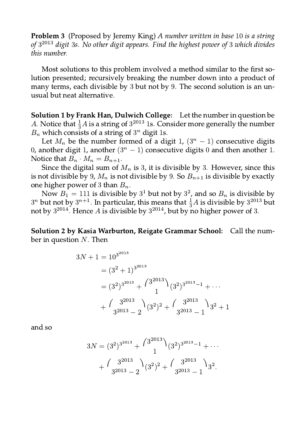**Problem 3** (Proposed by Jeremy King) A number written in base 10 is a string of  $3^{2013}$  digit 3s. No other digit appears. Find the highest power of 3 which divides this number.

Most solutions to this problem involved a method similar to the first solution presented; recursively breaking the number down into a product of many terms, each divisible by 3 but not by 9. The second solution is an unusual but neat alternative.

**Solution 1 by Frank Han, Dulwich College:** Let the number in question be A. Notice that  $\frac{1}{3}A$  is a string of  $3^{2013}$  1s. Consider more generally the number  $B_n$  which consists of a string of  $3^n$  digit 1s.

Let  $M_n$  be the number formed of a digit 1,  $(3^n - 1)$  consecutive digits 0, another digit 1, another  $(3<sup>n</sup> - 1)$  consecutive digits 0 and then another 1. Notice that  $B_n \cdot M_n = B_{n+1}$ .

Since the digital sum of  $M_n$  is 3, it is divisible by 3. However, since this is not divisible by 9,  $M_n$  is not divisible by 9. So  $B_{n+1}$  is divisible by exactly one higher power of 3 than  $B_n$ .

Now  $B_1 = 111$  is divisible by  $3^1$  but not by  $3^2$ , and so  $B_n$  is divisible by  $3^n$  but not by  $3^{n+1}$ . In particular, this means that  $\frac{1}{3}A$  is divisible by  $3^{2013}$  but not by  $3^{2014}$ . Hence A is divisible by  $3^{2014}$ , but by no higher power of 3.

**Solution 2 by Kasia Warburton, Reigate Grammar School:** Call the number in question  $N$ . Then

$$
3N + 1 = 10^{3^{2013}}
$$
  
=  $(3^2 + 1)^{3^{2013}}$   
=  $(3^2)^{3^{2013}} + {3^{2013}} \choose 1} (3^2)^{3^{2013} - 1} + \cdots$   
+  ${3^{2013} \choose 3^{2013} - 2} (3^2)^2 + {3^{2013} \choose 3^{2013} - 1} 3^2 + 1$ 

and so

$$
3N = (3^2)^{3^{2013}} + {3^{2013}} \choose 1} (3^2)^{3^{2013} - 1} + \cdots + {3^{2013}} \choose 3^{2013} - 2) (3^2)^2 + {3^{2013}} \choose 3^{2013} - 1) 3^2.
$$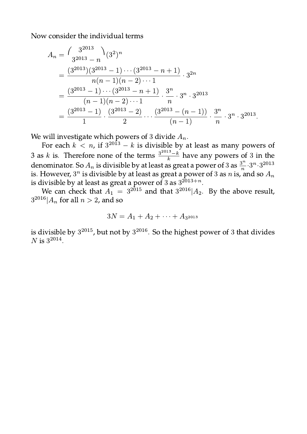Now consider the individual terms 

$$
A_n = {3^{2013} \choose 3^{2013} - n} (3^2)^n
$$
  
= 
$$
\frac{(3^{2013})(3^{2013} - 1) \cdots (3^{2013} - n + 1)}{n(n-1)(n-2) \cdots 1} \cdot 3^{2n}
$$
  
= 
$$
\frac{(3^{2013} - 1) \cdots (3^{2013} - n + 1)}{(n-1)(n-2) \cdots 1} \cdot \frac{3^n}{n} \cdot 3^n \cdot 3^{2013}
$$
  
= 
$$
\frac{(3^{2013} - 1)}{1} \cdot \frac{(3^{2013} - 2)}{2} \cdots \frac{(3^{2013} - (n-1))}{(n-1)} \cdot \frac{3^n}{n} \cdot 3^n \cdot 3^{2013}.
$$

We will investigate which powers of 3 divide  $A_n$ .<br>For each  $k < n$ , if  $3^{2013} - k$  is divisible by at least as many powers of 3 as  $k$  is. Therefore none of the terms  $\frac{3^{2013} - k}{k}$  have any powers of 3 in the denominator. So  $A_n$  is divisible by at least as great a power of 3 as  $\frac{3^n}{n} \cdot 3^n \cdot 3^{2013}$ is. However,  $3^n$  is divisible by at least as great a power of 3 as n is, and so  $A_n$ is divisible by at least as great a power of 3 as  $3^{2013+n}$ .

We can check that  $A_1 = 3^{2015}$  and that  $3^{2016}A_2$ . By the above result,  $3^{2016}$ | $A_n$  for all  $n > 2$ , and so

$$
3N = A_1 + A_2 + \cdots + A_{3^{2013}}
$$

is divisible by  $3^{2015}$ , but not by  $3^{2016}$ . So the highest power of 3 that divides N is  $3^{2014}$ .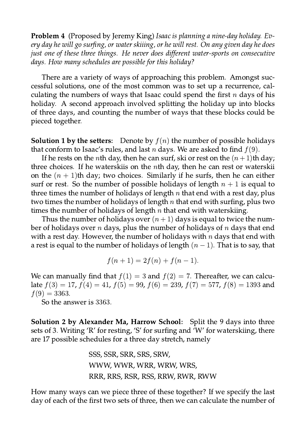**Problem 4** (Proposed by Jeremy King) Isaac is planning a nine-day holiday. Every day he will go surfing, or water skiiing, or he will rest. On any given day he does just one of these three things. He never does different water-sports on consecutive days. How many schedules are possible for this holiday?

There are a variety of ways of approaching this problem. Amongst successful solutions, one of the most common was to set up a recurrence, calculating the numbers of ways that Isaac could spend the first  $n$  days of his holiday. A second approach involved splitting the holiday up into blocks of three days, and counting the number of ways that these blocks could be pieced together.

**Solution 1 by the setters:** Denote by  $f(n)$  the number of possible holidays that conform to Isaac's rules, and last *n* days. We are asked to find  $f(9)$ .

If he rests on the *n*th day, then he can surf, ski or rest on the  $(n+1)$ th day; three choices. If he waterskiis on the  $n$ th day, then he can rest or waterskii on the  $(n + 1)$ th day; two choices. Similarly if he surfs, then he can either surf or rest. So the number of possible holidays of length  $n + 1$  is equal to three times the number of holidays of length  $n$  that end with a rest day, plus two times the number of holidays of length  $n$  that end with surfing, plus two times the number of holidays of length  $n$  that end with waterskiing.

Thus the number of holidays over  $(n + 1)$  days is equal to twice the number of holidays over *n* days, plus the number of holidays of *n* days that end with a rest day. However, the number of holidays with  $n$  days that end with a rest is equal to the number of holidays of length  $(n - 1)$ . That is to say, that

$$
f(n + 1) = 2f(n) + f(n - 1).
$$

We can manually find that  $f(1) = 3$  and  $f(2) = 7$ . Thereafter, we can calculate  $f(3) = 17$ ,  $f(4) = 41$ ,  $f(5) = 99$ ,  $f(6) = 239$ ,  $f(7) = 577$ ,  $f(8) = 1393$  and  $f(9) = 3363.$ 

So the answer is 3363.

**Solution 2 by Alexander Ma, Harrow School:** Split the 9 days into three sets of 3. Writing 'R' for resting, 'S' for surfing and 'W' for waterskiing, there are 17 possible schedules for a three day stretch, namely

> SSS, SSR, SRR, SRS, SRW, WWW, WWR, WRR, WRW, WRS, RRR, RRS, RSR, RSS, RRW, RWR, RWW

How many ways can we piece three of these together? If we specify the last day of each of the first two sets of three, then we can calculate the number of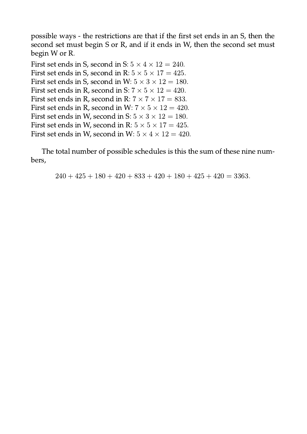possible ways - the restrictions are that if the first set ends in an S, then the second set must begin S or R, and if it ends in W, then the second set must begin W or R.

First set ends in S, second in S:  $5 \times 4 \times 12 = 240$ . First set ends in S, second in R:  $5 \times 5 \times 17 = 425$ . First set ends in S, second in W:  $5 \times 3 \times 12 = 180$ . First set ends in R, second in S:  $7 \times 5 \times 12 = 420$ . First set ends in R, second in R:  $7 \times 7 \times 17 = 833$ . First set ends in R, second in W:  $7 \times 5 \times 12 = 420$ . First set ends in W, second in S:  $5 \times 3 \times 12 = 180$ . First set ends in W, second in R:  $5 \times 5 \times 17 = 425$ . First set ends in W, second in W:  $5 \times 4 \times 12 = 420$ .

The total number of possible schedules is this the sum of these nine numbers,

 $240 + 425 + 180 + 420 + 833 + 420 + 180 + 425 + 420 = 3363.$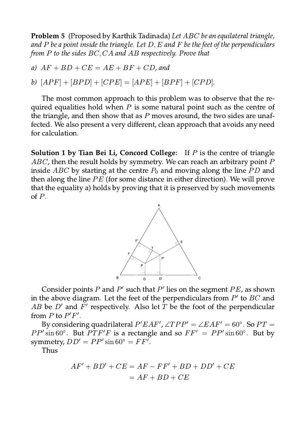**Problem 5** (Proposed by Karthik Tadinada) Let ABC be an equilateral triangle, and P be a point inside the triangle. Let  $D, E$  and F be the feet of the perpendiculars from P to the sides  $BC, CA$  and AB respectively. Prove that

- a)  $AF + BD + CE = AE + BF + CD$ , and
- b)  $[APF] + [BPD] + [CPE] = [APE] + [BPF] + [CPD].$

The most common approach to this problem was to observe that the required equalities hold when  $P$  is some natural point such as the centre of the triangle, and then show that as  $P$  moves around, the two sides are unaffected. We also present a very different, clean approach that avoids any need for calculation.

**Solution 1 by Tian Bei Li, Concord College:** If  $P$  is the centre of triangle  $ABC$ , then the result holds by symmetry. We can reach an arbitrary point P inside ABC by starting at the centre  $P_0$  and moving along the line PD and then along the line  $PE$  (for some distance in either direction). We will prove that the equality a) holds by proving that it is preserved by such movements of  $P$ .



Consider points  $P$  and  $P'$  such that  $P'$  lies on the segment  $PE$ , as shown in the above diagram. Let the feet of the perpendiculars from  $P'$  to  $BC$  and AB be D' and  $\tilde{F}'$  respectively. Also let  $\overline{T}$  be the foot of the perpendicular from P to  $P'F'$ .

By considering quadrilateral  $P'EAF'$ ,  $\angle TPP' = \angle EAF' = 60^\circ$ . So  $PT =$  $PP' \sin 60^\circ$ . But  $PTF'F$  is a rectangle and so  $FF' = PP' \sin 60^\circ$ . But by symmetry,  $DD' = PP' \sin 60^\circ = FF'$ .

Thus

$$
AF' + BD' + CE = AF - FF' + BD + DD' + CE
$$

$$
= AF + BD + CE
$$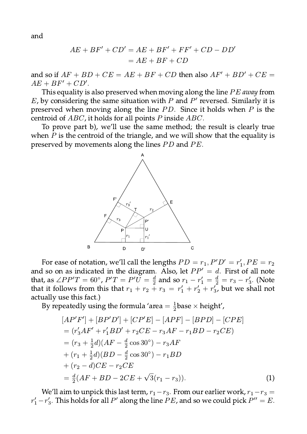and

$$
AE + BF' + CD' = AE + BF' + FF' + CD - DD'
$$

$$
= AE + BF + CD
$$

and so if  $AF + BD + CE = AE + BF + CD$  then also  $AF' + BD' + CE =$  $AE + BF' + CD'.$ 

This equality is also preserved when moving along the line PE away from  $E$ , by considering the same situation with  $P$  and  $P'$  reversed. Similarly it is preserved when moving along the line  $PD$ . Since it holds when  $P$  is the centroid of  $ABC$ , it holds for all points P inside  $ABC$ .

To prove part b), we'll use the same method; the result is clearly true when  $P$  is the centroid of the triangle, and we will show that the equality is preserved by movements along the lines PD and PE.



For ease of notation, we'll call the lengths  $PD = r_1$ ,  $P'D' = r'_1$ ,  $PE = r_2$ and so on as indicated in the diagram. Also, let  $PP' = d$ . First of all note that, as  $\angle PP'T = 60^{\circ}$ ,  $P'T = P'U = \frac{d}{2}$  and so  $r_1 - r'_1 = \frac{d}{2} = r_3 - r'_3$ . (Note that it follows from this that  $r_1 + r_2 + r_3 = r'_1 + r'_2 + r'_3$ , but we shall not actually use this fact.)

By repeatedly using the formula 'area =  $\frac{1}{2}$ base × height',

$$
[AP'F'] + [BP'D'] + [CP'E] - [APF] - [BPD] - [CPE]
$$
  
=  $(r'_3AF' + r'_1BD' + r_2CE - r_3AF - r_1BD - r_2CE)$   
=  $(r_3 + \frac{1}{2}d)(AF - \frac{d}{2}\cos 30^\circ) - r_3AF$   
+  $(r_1 + \frac{1}{2}d)(BD - \frac{d}{2}\cos 30^\circ) - r_1BD$   
+  $(r_2 - d)CE - r_2CE$   
=  $\frac{d}{2}(AF + BD - 2CE + \sqrt{3}(r_1 - r_3)).$  (1)

We'll aim to unpick this last term,  $r_1 - r_3$ . From our earlier work,  $r_1 - r_3 =$  $r'_1 - r'_3$ . This holds for all P' along the line PE, and so we could pick  $P'' = E$ .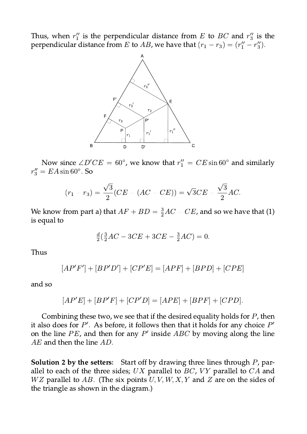Thus, when  $r''_1$  is the perpendicular distance from E to BC and  $r''_3$  is the perpendicular distance from *E* to *AB*, we have that  $(r_1 - r_3) = (r''_1 - r''_3)$ .



Now since  $\angle D'CE = 60^{\circ}$ , we know that  $r''_1 = CE \sin 60^{\circ}$  and similarly  $r''_3 = EA \sin 60^\circ$ . So

$$
(r_1 - r_3) = \frac{\sqrt{3}}{2}(CE - (AC - CE)) = \sqrt{3}CE - \frac{\sqrt{3}}{2}AC.
$$

We know from part a) that  $AF + BD = \frac{3}{2}AC - CE$ , and so we have that (1) is equal to

$$
\frac{d}{2}(\frac{3}{2}AC - 3CE + 3CE - \frac{3}{2}AC) = 0.
$$

Thus

$$
[AP'F'] + [BP'D'] + [CP'E] = [APF] + [BPD] + [CPE]
$$

and so

$$
[AP'E] + [BP'F] + [CP'D] = [APE] + [BPF] + [CPD]
$$

Combining these two, we see that if the desired equality holds for  $P$ , then it also does for  $P'$ . As before, it follows then that it holds for any choice  $P'$ on the line  $PE$ , and then for any  $P'$  inside  $ABC$  by moving along the line  $AE$  and then the line  $AD$ .

**Solution 2 by the setters:** Start off by drawing three lines through P, parallel to each of the three sides;  $UX$  parallel to  $BC$ ,  $YY$  parallel to  $CA$  and  $WZ$  parallel to AB. (The six points  $U, V, W, X, Y$  and Z are on the sides of the triangle as shown in the diagram.)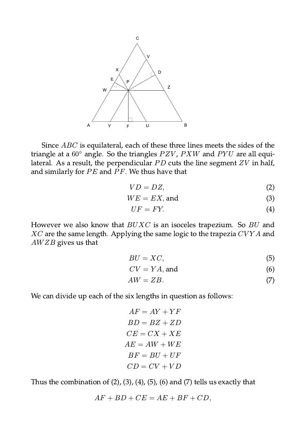

Since *ABC* is equilateral, each of these three lines meets the sides of the triangle at a  $60^{\circ}$  angle. So the triangles  $PZV$ ,  $PXW$  and  $PYU$  are all equilateral. As a result, the perpendicular  $PD$  cuts the line segment  $ZV$  in half, and similarly for  $PE$  and  $PF$ . We thus have that

$$
VD = DZ,\t\t(2)
$$

$$
WE = EX, \text{and} \tag{3}
$$

$$
UF = FY.\tag{4}
$$

However we also know that  $BUXC$  is an isoceles trapezium. So  $BU$  and  $XC$  are the same length. Applying the same logic to the trapezia  $CVYA$  and  $AWZB$  gives us that

$$
BU = XC,\tag{5}
$$

$$
CV = YA, \text{ and } (6)
$$

$$
AW = ZB.\t\t(7)
$$

We can divide up each of the six lengths in question as follows:

$$
AF = AY + YF
$$

$$
BD = BZ + ZD
$$

$$
CE = CX + XE
$$

$$
AE = AW + WE
$$

$$
BF = BU + UF
$$

$$
CD = CV + VD
$$

Thus the combination of  $(2)$ ,  $(3)$ ,  $(4)$ ,  $(5)$ ,  $(6)$  and  $(7)$  tells us exactly that

$$
AF + BD + CE = AE + BF + CD,
$$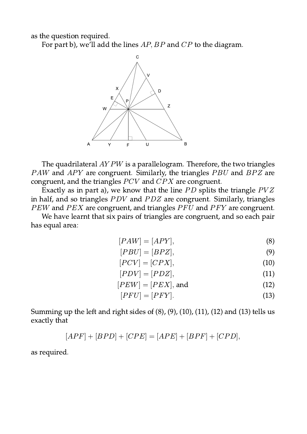as the question required.

For part b), we'll add the lines  $AP$ ,  $BP$  and  $CP$  to the diagram.



The quadrilateral  $AYPW$  is a parallelogram. Therefore, the two triangles PAW and APY are congruent. Similarly, the triangles PBU and BPZ are congruent, and the triangles  $PCV$  and  $CPX$  are congruent.

Exactly as in part a), we know that the line  $PD$  splits the triangle  $PVZ$ in half, and so triangles  $PDV$  and  $PDZ$  are congruent. Similarly, triangles PEW and PEX are congruent, and triangles PFU and PFY are congruent.

We have learnt that six pairs of triangles are congruent, and so each pair has equal area:

$$
[PAW] = [APY],\tag{8}
$$

$$
[PBU] = [BPZ],\tag{9}
$$

$$
[PCV] = [CPX],\tag{10}
$$

$$
[PDV] = [PDZ],\tag{11}
$$

$$
[PEW] = [PEX], \text{and} \tag{12}
$$

$$
[PFU] = [PFY].\tag{13}
$$

Summing up the left and right sides of  $(8)$ ,  $(9)$ ,  $(10)$ ,  $(11)$ ,  $(12)$  and  $(13)$  tells us exactly that

$$
[APF] + [BPD] + [CPE] = [APE] + [BPF] + [CPD],
$$

as required.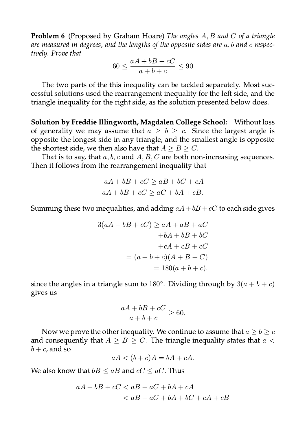**Problem 6** (Proposed by Graham Hoare) The angles A, B and C of a triangle are measured in degrees, and the lengths of the opposite sides are  $a, b$  and c respectively. Prove that

$$
60 \le \frac{aA + bB + cC}{a + b + c} \le 90
$$

The two parts of the this inequality can be tackled separately. Most successful solutions used the rearrangement inequality for the left side, and the triangle inequality for the right side, as the solution presented below does.

Solution by Freddie Illingworth, Magdalen College School: Without loss of generality we may assume that  $a \geq b \geq c$ . Since the largest angle is opposite the longest side in any triangle, and the smallest angle is opposite the shortest side, we then also have that  $A \geq B \geq C$ .

That is to say, that  $a, b, c$  and  $A, B, C$  are both non-increasing sequences. Then it follows from the rearrangement inequality that

$$
aA + bB + cC \ge aB + bC + cA
$$

$$
aA + bB + cC \ge aC + bA + cB.
$$

Summing these two inequalities, and adding  $aA + bB + cC$  to each side gives

$$
3(aA + bB + cC) \ge aA + aB + aC
$$

$$
+bA + bB + bC
$$

$$
+cA + cB + cC
$$

$$
= (a + b + c)(A + B + C)
$$

$$
= 180(a + b + c).
$$

since the angles in a triangle sum to 180°. Dividing through by  $3(a + b + c)$ gives us

$$
\frac{aA + bB + cC}{a + b + c} \ge 60.
$$

Now we prove the other inequality. We continue to assume that  $a \geq b \geq c$ and consequently that  $A \geq B \geq C$ . The triangle inequality states that  $a <$  $b+c$ , and so

 $aA < (b+c)A = bA + cA.$ 

We also know that  $bB \leq aB$  and  $cC \leq aC$ . Thus

$$
aA + bB + cC < aB + aC + bA + cA
$$
\n
$$
< aB + aC + bA + bC + cA + cB
$$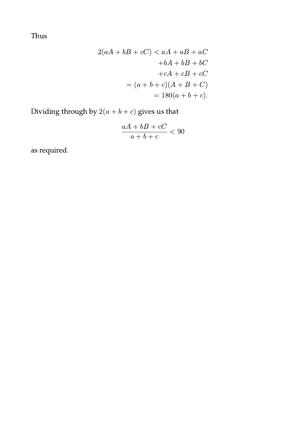Thus

$$
2(aA + bB + cC) < aA + aB + aC
$$
\n
$$
+bA + bB + bC
$$
\n
$$
+cA + cB + cC
$$
\n
$$
= (a + b + c)(A + B + C)
$$
\n
$$
= 180(a + b + c).
$$

Dividing through by  $2(a+b+c)$  gives us that

$$
\frac{aA+bB+cC}{a+b+c} < 90
$$

as required.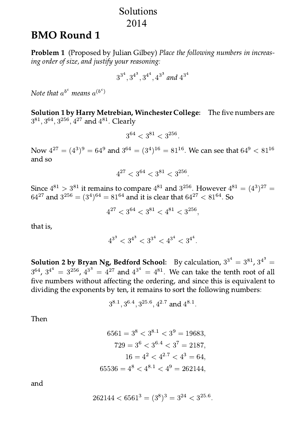### Solutions 2014

# **BMO Round 1**

**Problem 1** (Proposed by Julian Gilbey) Place the following numbers in increasing order of size, and justify your reasoning:

$$
3^{3^4},3^{4^3},3^{4^4},4^{3^3} \ and \ 4^{3^4}
$$

Note that  $a^{b^c}$  means  $a^{(b^c)}$ 

Solution 1 by Harry Metrebian, Winchester College: The five numbers are  $3^{81}, 3^{64}, 3^{256}, 4^{27}$  and  $4^{81}$ . Clearly

$$
3^{64} < 3^{81} < 3^{256}.
$$

Now  $4^{27} = (4^3)^9 = 64^9$  and  $3^{64} = (3^4)^{16} = 81^{16}$ . We can see that  $64^9 < 81^{16}$ and so

$$
4^{27} < 3^{64} < 3^{81} < 3^{256}
$$

Since  $4^{81} > 3^{81}$  it remains to compare  $4^{81}$  and  $3^{256}$ . However  $4^{81} = (4^3)^{27} =$  $64^{27}$  and  $3^{256} = (3^4)^{64} = 81^{64}$  and it is clear that  $64^{27} < 81^{64}$ . So

$$
4^{27} < 3^{64} < 3^{81} < 4^{81} < 3^{256}
$$

that is,

$$
4^{3^3} < 3^{4^3} < 3^{3^4} < 4^{3^4} < 3^{4^4}.
$$

**Solution 2 by Bryan Ng, Bedford School:** By calculation,  $3^{3^4} = 3^{81}$ ,  $3^{4^3} =$  $3^{64}$ ,  $3^{4^4} = 3^{256}$ ,  $4^{3^3} = 4^{27}$  and  $4^{3^4} = 4^{81}$ . We can take the tenth root of all five numbers without affecting the ordering, and since this is equivalent to dividing the exponents by ten, it remains to sort the following numbers:

$$
3^{8.1}, 3^{6.4}, 3^{25.6}, 4^{2.7} \text{ and } 4^{8.1}.
$$

Then

$$
6561 = 38 < 38.1 < 39 = 19683,
$$
  
\n
$$
729 = 36 < 36.4 < 37 = 2187,
$$
  
\n
$$
16 = 42 < 42.7 < 43 = 64,
$$
  
\n
$$
65536 = 48 < 48.1 < 49 = 262144,
$$

and

$$
262144 < 6561^3 = (3^8)^3 = 3^{24} < 3^{25.6}
$$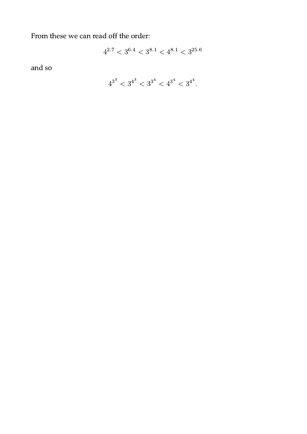From these we can read off the order:

$$
4^{2.7} < 3^{6.4} < 3^{8.1} < 4^{8.1} < 3^{25.6}
$$

and so

$$
4^{3^3} < 3^{4^3} < 3^{3^4} < 4^{3^4} < 3^{4^4}.
$$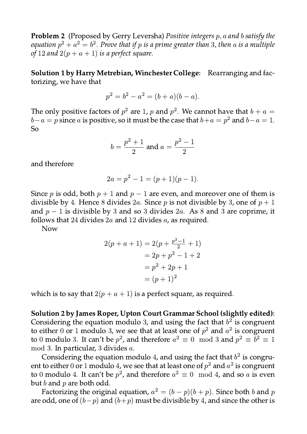**Problem 2** (Proposed by Gerry Leversha) Positive integers  $p$ ,  $a$  and  $b$  satisfy the equation  $p^2 + a^2 = b^2$ . Prove that if p is a prime greater than 3, then a is a multiple of 12 and  $2(p + a + 1)$  is a perfect square.

Solution 1 by Harry Metrebian, Winchester College: Rearranging and factorizing, we have that

$$
p^2 = b^2 - a^2 = (b + a)(b - a).
$$

The only positive factors of  $p^2$  are 1, p and  $p^2$ . We cannot have that  $b + a =$  $b-a=p$  since a is positive, so it must be the case that  $b+a=p^2$  and  $b-a=1$ . **So** 

$$
b = \frac{p^2 + 1}{2}
$$
 and  $a = \frac{p^2 - 1}{2}$ 

and therefore

$$
2a = p^2 - 1 = (p+1)(p-1).
$$

Since p is odd, both  $p + 1$  and  $p - 1$  are even, and moreover one of them is divisible by 4. Hence 8 divides 2a. Since p is not divisible by 3, one of  $p + 1$ and  $p-1$  is divisible by 3 and so 3 divides 2a. As 8 and 3 are coprime, it follows that 24 divides  $2a$  and 12 divides  $a$ , as required.

**Now** 

$$
2(p + a + 1) = 2(p + \frac{p^{2}-1}{2} + 1)
$$
  
= 2p + p^{2} - 1 + 2  
= p^{2} + 2p + 1  
= (p + 1)^{2}

which is to say that  $2(p + a + 1)$  is a perfect square, as required.

Solution 2 by James Roper, Upton Court Grammar School (slightly edited): Considering the equation modulo 3, and using the fact that  $b<sup>2</sup>$  is congruent to either 0 or 1 modulo 3, we see that at least one of  $p^2$  and  $a^2$  is congruent to 0 modulo 3. It can't be  $p^2$ , and therefore  $a^2 \equiv 0 \mod 3$  and  $p^2 \equiv \tilde{b}^2 \equiv 1$ mod 3. In particular, 3 divides a.

Considering the equation modulo 4, and using the fact that  $b^2$  is congruent to either 0 or 1 modulo 4, we see that at least one of  $p^2$  and  $a^2$  is congruent to 0 modulo 4. It can't be  $p^2$ , and therefore  $a^2 \equiv 0 \mod 4$ , and so a is even but  $b$  and  $p$  are both odd.

Factorizing the original equation,  $a^2 = (b - p)(b + p)$ . Since both b and p are odd, one of  $(b-p)$  and  $(b+p)$  must be divisible by 4, and since the other is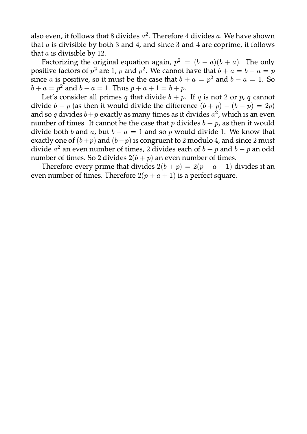also even, it follows that 8 divides  $a^2$ . Therefore 4 divides a. We have shown that  $a$  is divisible by both 3 and 4, and since 3 and 4 are coprime, it follows that  $a$  is divisible by 12.

Factorizing the original equation again,  $p^2 = (b - a)(b + a)$ . The only positive factors of  $p^2$  are 1, p and  $p^2$ . We cannot have that  $b + a = b - a = p$ since a is positive, so it must be the case that  $b + a = p^2$  and  $b - a = 1$ . So  $b + a = p^2$  and  $b - a = 1$ . Thus  $p + a + 1 = b + p$ .

Let's consider all primes q that divide  $b + p$ . If q is not 2 or p, q cannot divide  $b - p$  (as then it would divide the difference  $(b + p) - (b - p) = 2p$ ) and so q divides  $b+p$  exactly as many times as it divides  $a^2$ , which is an even number of times. It cannot be the case that p divides  $b + p$ , as then it would divide both b and a, but  $b - a = 1$  and so p would divide 1. We know that exactly one of  $(b+p)$  and  $(b-p)$  is congruent to 2 modulo 4, and since 2 must divide  $a^2$  an even number of times. 2 divides each of  $b + p$  and  $b - p$  an odd number of times. So 2 divides  $2(b + p)$  an even number of times.

Therefore every prime that divides  $2(b+p) = 2(p+a+1)$  divides it an even number of times. Therefore  $2(p + a + 1)$  is a perfect square.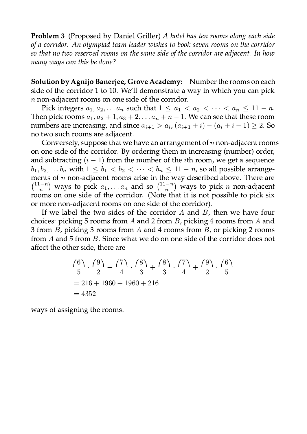Problem 3 (Proposed by Daniel Griller) A hotel has ten rooms along each side of a corridor. An olympiad team leader wishes to book seven rooms on the corridor so that no two reserved rooms on the same side of the corridor are adjacent. In how many ways can this be done?

Solution by Agnijo Banerjee, Grove Academy: Number the rooms on each side of the corridor 1 to 10. We'll demonstrate a way in which you can pick  $n$  non-adjacent rooms on one side of the corridor.

Pick integers  $a_1, a_2, \ldots a_n$  such that  $1 \le a_1 < a_2 < \cdots < a_n \le 11 - n$ . Then pick rooms  $a_1, a_2 + 1, a_3 + 2, \ldots a_n + n - 1$ . We can see that these room numbers are increasing, and since  $a_{i+1} > a_i$ ,  $(a_{i+1} + i) - (a_i + i - 1) \ge 2$ . So no two such rooms are adjacent.

Conversely, suppose that we have an arrangement of  $n$  non-adjacent rooms on one side of the corridor. By ordering them in increasing (number) order, and subtracting  $(i - 1)$  from the number of the *i*th room, we get a sequence  $b_1, b_2, \ldots b_n$  with  $1 \leq b_1 < b_2 < \cdots < b_n \leq 11 - n$ , so all possible arrangements of  $n$  non-adjacent rooms arise in the way described above. There are  $\binom{11-n}{n}$  ways to pick  $a_1, \ldots a_n$  and so  $\binom{11-n}{n}$  ways to pick *n* non-adjacent<br>rooms on one side of the corridor. (Note that it is not possible to pick six or more non-adjacent rooms on one side of the corridor).

If we label the two sides of the corridor  $A$  and  $B$ , then we have four choices: picking 5 rooms from  $A$  and 2 from  $B$ , picking 4 rooms from  $A$  and 3 from B, picking 3 rooms from A and 4 rooms from B, or picking 2 rooms from A and 5 from B. Since what we do on one side of the corridor does not affect the other side, there are

$$
\binom{6}{5} \cdot \binom{9}{2} + \binom{7}{4} \cdot \binom{8}{3} + \binom{8}{3} \cdot \binom{7}{4} + \binom{9}{2} \cdot \binom{6}{5}
$$
  
= 216 + 1960 + 1960 + 216  
= 4352

ways of assigning the rooms.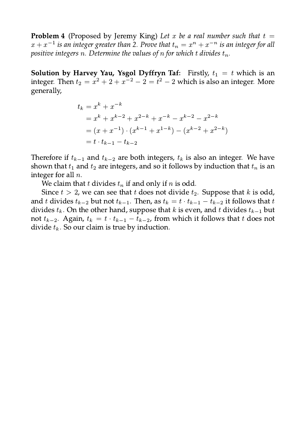**Problem 4** (Proposed by Jeremy King) Let x be a real number such that  $t =$  $x + x^{-1}$  is an integer greater than 2. Prove that  $t_n = x^n + x^{-n}$  is an integer for all positive integers n. Determine the values of n for which t divides  $t_n$ .

**Solution by Harvey Yau, Ysgol Dyffryn Taf:** Firstly,  $t_1 = t$  which is an integer. Then  $t_2 = x^2 + 2 + x^{-2} - 2 = t^2 - 2$  which is also an integer. More generally,

$$
t_k = x^k + x^{-k}
$$
  
=  $x^k + x^{k-2} + x^{2-k} + x^{-k} - x^{k-2} - x^{2-k}$   
=  $(x + x^{-1}) \cdot (x^{k-1} + x^{1-k}) - (x^{k-2} + x^{2-k})$   
=  $t \cdot t_{k-1} - t_{k-2}$ 

Therefore if  $t_{k-1}$  and  $t_{k-2}$  are both integers,  $t_k$  is also an integer. We have shown that  $t_1$  and  $t_2$  are integers, and so it follows by induction that  $t_n$  is an integer for all  $n$ .

We claim that t divides  $t_n$  if and only if n is odd.

Since  $t > 2$ , we can see that t does not divide  $t_2$ . Suppose that k is odd, and t divides  $t_{k-2}$  but not  $t_{k-1}$ . Then, as  $t_k = t \cdot t_{k-1} - t_{k-2}$  it follows that t divides  $t_k$ . On the other hand, suppose that k is even, and t divides  $t_{k-1}$  but not  $t_{k-2}$ . Again,  $t_k = t \cdot t_{k-1} - t_{k-2}$ , from which it follows that t does not divide  $t_k$ . So our claim is true by induction.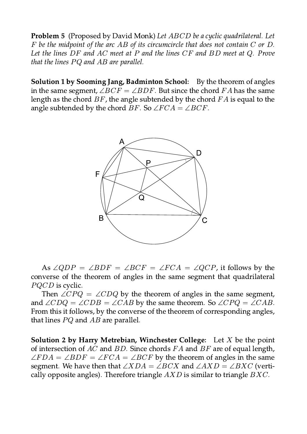Problem 5 (Proposed by David Monk) Let ABCD be a cyclic quadrilateral. Let  $F$  be the midpoint of the arc AB of its circumcircle that does not contain  $C$  or  $D$ . Let the lines  $DF$  and  $AC$  meet at  $P$  and the lines  $CF$  and  $BD$  meet at  $Q$ . Prove that the lines  $PQ$  and  $AB$  are parallel.

**Solution 1 by Sooming Jang, Badminton School:** By the theorem of angles in the same segment,  $\angle BCF = \angle BDF$ . But since the chord FA has the same length as the chord  $BF$ , the angle subtended by the chord  $FA$  is equal to the angle subtended by the chord BF. So  $\angle FCA = \angle BCF$ .



As  $\angle QDP = \angle BDF = \angle BCF = \angle FCA = \angle QCP$ , it follows by the converse of the theorem of angles in the same segment that quadrilateral *PQCD* is cyclic.

Then  $\angle CPQ = \angle CDQ$  by the theorem of angles in the same segment, and  $\angle CDQ = \angle CDB = \angle CAB$  by the same theorem. So  $\angle CPQ = \angle CAB$ . From this it follows, by the converse of the theorem of corresponding angles, that lines  $PQ$  and  $AB$  are parallel.

**Solution 2 by Harry Metrebian, Winchester College:** Let X be the point of intersection of  $AC$  and  $BD$ . Since chords  $FA$  and  $BF$  are of equal length,  $\angle FDA = \angle BDF = \angle FCA = \angle BCF$  by the theorem of angles in the same segment. We have then that  $\angle XDA = \angle BCX$  and  $\angle AXD = \angle BXC$  (vertically opposite angles). Therefore triangle  $AXD$  is similar to triangle  $BXC$ .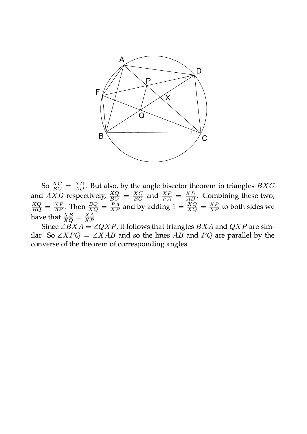

So  $\frac{XC}{BC} = \frac{XD}{AD}$ . But also, by the angle bisector theorem in triangles *BXC*<br>and *AXD* respectively,  $\frac{XQ}{BQ} = \frac{XC}{BC}$  and  $\frac{XP}{PA} = \frac{XD}{AD}$ . Combining these two,<br> $\frac{XQ}{BQ} = \frac{XP}{AP}$ . Then  $\frac{BQ}{XQ} = \frac{PA}{XP}$  and by

Since  $\angle BXA = \angle QXP$ , it follows that triangles BXA and QXP are similar. So  $\angle XPQ = \angle XAB$  and so the lines AB and PQ are parallel by the converse of the theorem of corresponding angles.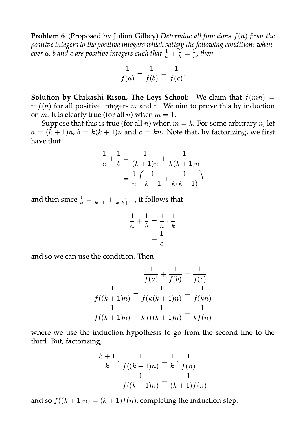**Problem 6** (Proposed by Julian Gilbey) Determine all functions  $f(n)$  from the positive integers to the positive integers which satisfy the following condition: whenever a, b and c are positive integers such that  $\frac{1}{a} + \frac{1}{b} = \frac{1}{c}$ , then

$$
\frac{1}{f(a)} + \frac{1}{f(b)} = \frac{1}{f(c)}
$$

**Solution by Chikashi Rison, The Leys School:** We claim that  $f(mn)$  =  $mf(n)$  for all positive integers m and n. We aim to prove this by induction on *m*. It is clearly true (for all *n*) when  $m = 1$ .

Suppose that this is true (for all *n*) when  $m = k$ . For some arbitrary *n*, let  $a = (k + 1)n$ ,  $b = k(k + 1)n$  and  $c = kn$ . Note that, by factorizing, we first have that

$$
\frac{1}{a} + \frac{1}{b} = \frac{1}{(k+1)n} + \frac{1}{k(k+1)n}
$$

$$
= \frac{1}{n} \left( \frac{1}{k+1} + \frac{1}{k(k+1)} \right)
$$

and then since  $\frac{1}{k} = \frac{1}{k+1} + \frac{1}{k(k+1)}$ , it follows that

$$
\frac{1}{a} + \frac{1}{b} = \frac{1}{n} \cdot \frac{1}{k}
$$

$$
= \frac{1}{c}
$$

and so we can use the condition. Then

$$
\frac{1}{f(a)} + \frac{1}{f(b)} = \frac{1}{f(c)}
$$

$$
\frac{1}{f((k+1)n)} + \frac{1}{f(k(k+1)n)} = \frac{1}{f(kn)}
$$

$$
\frac{1}{f((k+1)n)} + \frac{1}{kf((k+1)n)} = \frac{1}{kf(n)}
$$

where we use the induction hypothesis to go from the second line to the third. But, factorizing,

$$
\frac{k+1}{k} \cdot \frac{1}{f((k+1)n)} = \frac{1}{k} \cdot \frac{1}{f(n)} = \frac{1}{f((k+1)n)} = \frac{1}{(k+1)f(n)}
$$

and so  $f((k + 1)n) = (k + 1)f(n)$ , completing the induction step.